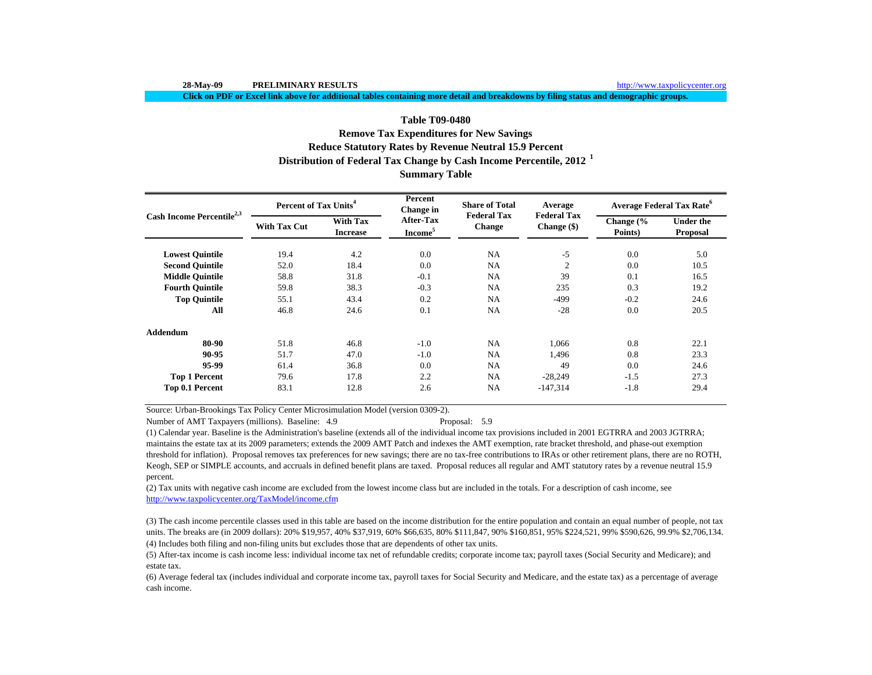**Click on PDF or Excel link above for additional tables containing more detail and breakdowns by filing status and demographic groups.**

# **Summary Table Reduce Statutory Rates by Revenue Neutral 15.9 Percent Distribution of Federal Tax Change by Cash Income Percentile, 2012 <sup>1</sup> Table T09-0480Remove Tax Expenditures for New Savings**

|                                       | Percent of Tax Units <sup>4</sup> |                                    | Percent<br>Change in             | <b>Share of Total</b>               | Average                             | <b>Average Federal Tax Rate<sup>o</sup></b>                                                                 |                              |  |
|---------------------------------------|-----------------------------------|------------------------------------|----------------------------------|-------------------------------------|-------------------------------------|-------------------------------------------------------------------------------------------------------------|------------------------------|--|
| Cash Income Percentile <sup>2,3</sup> | <b>With Tax Cut</b>               | <b>With Tax</b><br><b>Increase</b> | After-Tax<br>Income <sup>5</sup> | <b>Federal Tax</b><br><b>Change</b> | <b>Federal Tax</b><br>Change $(\$)$ | Change $\frac{6}{6}$<br>Points)<br>0.0<br>0.0<br>0.1<br>0.3<br>$-0.2$<br>0.0<br>0.8<br>0.8<br>0.0<br>$-1.5$ | <b>Under the</b><br>Proposal |  |
| <b>Lowest Quintile</b>                | 19.4                              | 4.2                                | 0.0                              | NA                                  | $-5$                                |                                                                                                             | 5.0                          |  |
| <b>Second Ouintile</b>                | 52.0                              | 18.4                               | 0.0                              | NA                                  | $\overline{2}$                      |                                                                                                             | 10.5                         |  |
| <b>Middle Quintile</b>                | 58.8                              | 31.8                               | $-0.1$                           | NA                                  | 39                                  |                                                                                                             | 16.5                         |  |
| <b>Fourth Quintile</b>                | 59.8                              | 38.3                               | $-0.3$                           | NA                                  | 235                                 |                                                                                                             | 19.2                         |  |
| <b>Top Quintile</b>                   | 55.1                              | 43.4                               | 0.2                              | NA                                  | $-499$                              |                                                                                                             | 24.6                         |  |
| All                                   | 46.8                              | 24.6                               | 0.1                              | NA                                  | $-28$                               |                                                                                                             | 20.5                         |  |
| Addendum                              |                                   |                                    |                                  |                                     |                                     |                                                                                                             |                              |  |
| 80-90                                 | 51.8                              | 46.8                               | $-1.0$                           | NA                                  | 1,066                               |                                                                                                             | 22.1                         |  |
| 90-95                                 | 51.7                              | 47.0                               | $-1.0$                           | NA                                  | 1,496                               |                                                                                                             | 23.3                         |  |
| 95-99                                 | 61.4                              | 36.8                               | 0.0                              | <b>NA</b>                           | 49                                  |                                                                                                             | 24.6                         |  |
| <b>Top 1 Percent</b>                  | 79.6                              | 17.8                               | 2.2                              | <b>NA</b>                           | $-28,249$                           |                                                                                                             | 27.3                         |  |
| Top 0.1 Percent                       | 83.1                              | 12.8                               | 2.6                              | <b>NA</b>                           | $-147,314$                          | $-1.8$                                                                                                      | 29.4                         |  |

Source: Urban-Brookings Tax Policy Center Microsimulation Model (version 0309-2).

Number of AMT Taxpayers (millions). Baseline: 4.9 Proposal: 5.9

(1) Calendar year. Baseline is the Administration's baseline (extends all of the individual income tax provisions included in 2001 EGTRRA and 2003 JGTRRA; maintains the estate tax at its 2009 parameters; extends the 2009 AMT Patch and indexes the AMT exemption, rate bracket threshold, and phase-out exemption threshold for inflation). Proposal removes tax preferences for new savings; there are no tax-free contributions to IRAs or other retirement plans, there are no ROTH, Keogh, SEP or SIMPLE accounts, and accruals in defined benefit plans are taxed. Proposal reduces all regular and AMT statutory rates by a revenue neutral 15.9 percent.

(2) Tax units with negative cash income are excluded from the lowest income class but are included in the totals. For a description of cash income, see http://www.taxpolicycenter.org/TaxModel/income.cfm

(4) Includes both filing and non-filing units but excludes those that are dependents of other tax units. (3) The cash income percentile classes used in this table are based on the income distribution for the entire population and contain an equal number of people, not tax units. The breaks are (in 2009 dollars): 20% \$19,957, 40% \$37,919, 60% \$66,635, 80% \$111,847, 90% \$160,851, 95% \$224,521, 99% \$590,626, 99.9% \$2,706,134.

(5) After-tax income is cash income less: individual income tax net of refundable credits; corporate income tax; payroll taxes (Social Security and Medicare); and estate tax.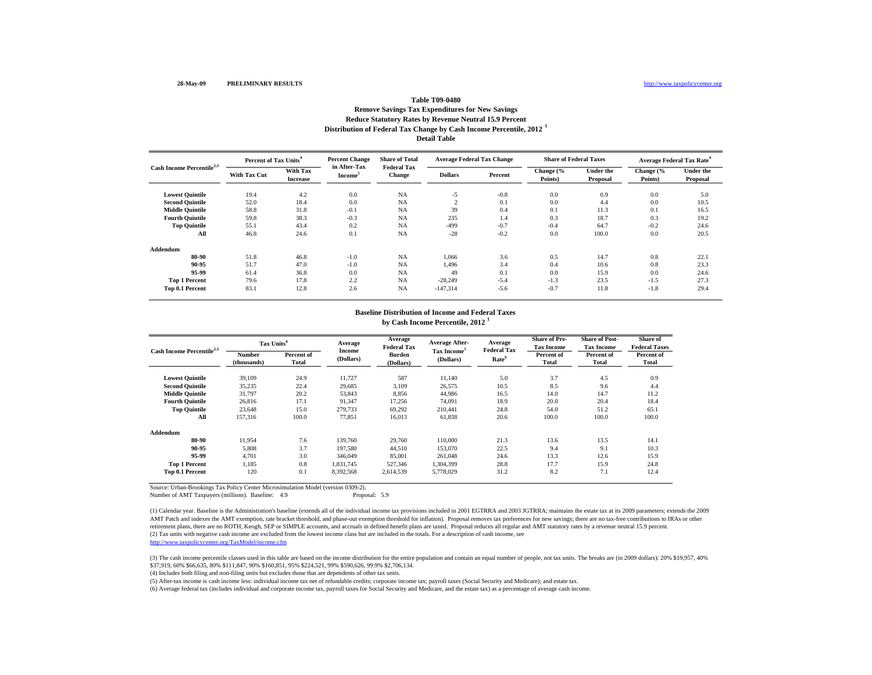### **Distribution of Federal Tax Change by Cash Income Percentile, 2012 <sup>1</sup> Detail Table Remove Savings Tax Expenditures for New Savings Reduce Statutory Rates by Revenue Neutral 15.9 Percent**

| Cash Income Percentile <sup>2,3</sup> |                     | <b>Percent Change</b><br>Percent of Tax Units <sup>4</sup> |                                     | <b>Share of Total</b>        | <b>Average Federal Tax Change</b> |         | <b>Share of Federal Taxes</b> |                              | <b>Average Federal Tax Rate<sup>6</sup></b> |                              |
|---------------------------------------|---------------------|------------------------------------------------------------|-------------------------------------|------------------------------|-----------------------------------|---------|-------------------------------|------------------------------|---------------------------------------------|------------------------------|
|                                       | <b>With Tax Cut</b> | With Tax<br><b>Increase</b>                                | in After-Tax<br>Income <sup>3</sup> | <b>Federal Tax</b><br>Change | <b>Dollars</b>                    | Percent | Change (%<br>Points)          | <b>Under the</b><br>Proposal | Change (%<br>Points)                        | <b>Under the</b><br>Proposal |
| <b>Lowest Quintile</b>                | 19.4                | 4.2                                                        | 0.0                                 | <b>NA</b>                    | $-5$                              | $-0.8$  | 0.0                           | 0.9                          | 0.0                                         | 5.0                          |
| <b>Second Quintile</b>                | 52.0                | 18.4                                                       | 0.0                                 | <b>NA</b>                    | $\sim$                            | 0.1     | 0.0                           | 4.4                          | 0.0                                         | 10.5                         |
| <b>Middle Quintile</b>                | 58.8                | 31.8                                                       | $-0.1$                              | <b>NA</b>                    | 39                                | 0.4     | 0.1                           | 11.3                         | 0.1                                         | 16.5                         |
| <b>Fourth Ouintile</b>                | 59.8                | 38.3                                                       | $-0.3$                              | <b>NA</b>                    | 235                               | 1.4     | 0.3                           | 18.7                         | 0.3                                         | 19.2                         |
| <b>Top Quintile</b>                   | 55.1                | 43.4                                                       | 0.2                                 | <b>NA</b>                    | $-499$                            | $-0.7$  | $-0.4$                        | 64.7                         | $-0.2$                                      | 24.6                         |
| All                                   | 46.8                | 24.6                                                       | 0.1                                 | <b>NA</b>                    | $-28$                             | $-0.2$  | 0.0                           | 100.0                        | 0.0                                         | 20.5                         |
| Addendum                              |                     |                                                            |                                     |                              |                                   |         |                               |                              |                                             |                              |
| 80-90                                 | 51.8                | 46.8                                                       | $-1.0$                              | <b>NA</b>                    | 1.066                             | 3.6     | 0.5                           | 14.7                         | 0.8                                         | 22.1                         |
| 90-95                                 | 51.7                | 47.0                                                       | $-1.0$                              | <b>NA</b>                    | 1,496                             | 3.4     | 0.4                           | 10.6                         | 0.8                                         | 23.3                         |
| 95-99                                 | 61.4                | 36.8                                                       | 0.0                                 | <b>NA</b>                    | 49                                | 0.1     | 0.0                           | 15.9                         | 0.0                                         | 24.6                         |
| <b>Top 1 Percent</b>                  | 79.6                | 17.8                                                       | 2.2                                 | <b>NA</b>                    | $-28,249$                         | $-5.4$  | $-1.3$                        | 23.5                         | $-1.5$                                      | 27.3                         |
| Top 0.1 Percent                       | 83.1                | 12.8                                                       | 2.6                                 | <b>NA</b>                    | $-147,314$                        | $-5.6$  | $-0.7$                        | 11.8                         | $-1.8$                                      | 29.4                         |

### **by Cash Income Percentile, 2012 <sup>1</sup> Baseline Distribution of Income and Federal Taxes**

| Cash Income Percentile <sup>2,3</sup> | Tax Units <sup>4</sup>       |                     | Average             | Average<br><b>Federal Tax</b> | <b>Average After-</b>                | Average<br><b>Federal Tax</b> | <b>Share of Pre-</b><br><b>Tax Income</b> | <b>Share of Post-</b><br><b>Tax Income</b> | Share of<br><b>Federal Taxes</b> |
|---------------------------------------|------------------------------|---------------------|---------------------|-------------------------------|--------------------------------------|-------------------------------|-------------------------------------------|--------------------------------------------|----------------------------------|
|                                       | <b>Number</b><br>(thousands) | Percent of<br>Total | Income<br>(Dollars) | <b>Burden</b><br>(Dollars)    | Tax Income <sup>5</sup><br>(Dollars) | Rate <sup>6</sup>             | Percent of<br><b>Total</b>                | Percent of<br>Total                        | Percent of<br>Total              |
| <b>Lowest Quintile</b>                | 39.109                       | 24.9                | 11,727              | 587                           | 11,140                               | 5.0                           | 3.7                                       | 4.5                                        | 0.9                              |
| <b>Second Quintile</b>                | 35,235                       | 22.4                | 29,685              | 3,109                         | 26,575                               | 10.5                          | 8.5                                       | 9.6                                        | 4.4                              |
| <b>Middle Quintile</b>                | 31,797                       | 20.2                | 53,843              | 8,856                         | 44,986                               | 16.5                          | 14.0                                      | 14.7                                       | 11.2                             |
| <b>Fourth Quintile</b>                | 26,816                       | 17.1                | 91,347              | 17,256                        | 74,091                               | 18.9                          | 20.0                                      | 20.4                                       | 18.4                             |
| <b>Top Quintile</b>                   | 23,648                       | 15.0                | 279,733             | 69,292                        | 210,441                              | 24.8                          | 54.0                                      | 51.2                                       | 65.1                             |
| All                                   | 157.316                      | 100.0               | 77.851              | 16,013                        | 61,838                               | 20.6                          | 100.0                                     | 100.0                                      | 100.0                            |
| Addendum                              |                              |                     |                     |                               |                                      |                               |                                           |                                            |                                  |
| 80-90                                 | 11.954                       | 7.6                 | 139,760             | 29,760                        | 110,000                              | 21.3                          | 13.6                                      | 13.5                                       | 14.1                             |
| 90-95                                 | 5,808                        | 3.7                 | 197,580             | 44,510                        | 153,070                              | 22.5                          | 9.4                                       | 9.1                                        | 10.3                             |
| 95-99                                 | 4.701                        | 3.0                 | 346,049             | 85,001                        | 261,048                              | 24.6                          | 13.3                                      | 12.6                                       | 15.9                             |
| <b>Top 1 Percent</b>                  | 1,185                        | 0.8                 | 1,831,745           | 527,346                       | 1,304,399                            | 28.8                          | 17.7                                      | 15.9                                       | 24.8                             |
| Top 0.1 Percent                       | 120                          | 0.1                 | 8,392,568           | 2.614.539                     | 5.778.029                            | 31.2                          | 8.2                                       | 7.1                                        | 12.4                             |

Source: Urban-Brookings Tax Policy Center Microsimulation Model (version 0309-2).

Number of AMT Taxpayers (millions). Baseline: 4.9

(2) Tax units with negative cash income are excluded from the lowest income class but are included in the totals. For a description of cash income, see http://www.taxpolicycenter.org/TaxModel/income.cfm (1) Calendar year. Baseline is the Administration's baseline (extends all of the individual income tax provisions included in 2001 EGTRRA and 2003 JGTRRA; maintains the estate tax at its 2009 parameters; extends the 2009 AMT Patch and indexes the AMT exemption, rate bracket threshold, and phase-out exemption threshold for inflation). Proposal removes tax preferences for new savings; there are no tax-free contributions to IRAs or other retirement plans, there are no ROTH, Keogh, SEP or SIMPLE accounts, and accruals in defined benefit plans are taxed. Proposal reduces all regular and AMT statutory rates by a revenue neutral 15.9 percent.

(3) The cash income percentile classes used in this table are based on the income distribution for the entire population and contain an equal number of people, not tax units. The breaks are (in 2009 dollars): 20% \$19,957, \$37,919, 60% \$66,635, 80% \$111,847, 90% \$160,851, 95% \$224,521, 99% \$590,626, 99.9% \$2,706,134.

(4) Includes both filing and non-filing units but excludes those that are dependents of other tax units.

(5) After-tax income is cash income less: individual income tax net of refundable credits; corporate income tax; payroll taxes (Social Security and Medicare); and estate tax.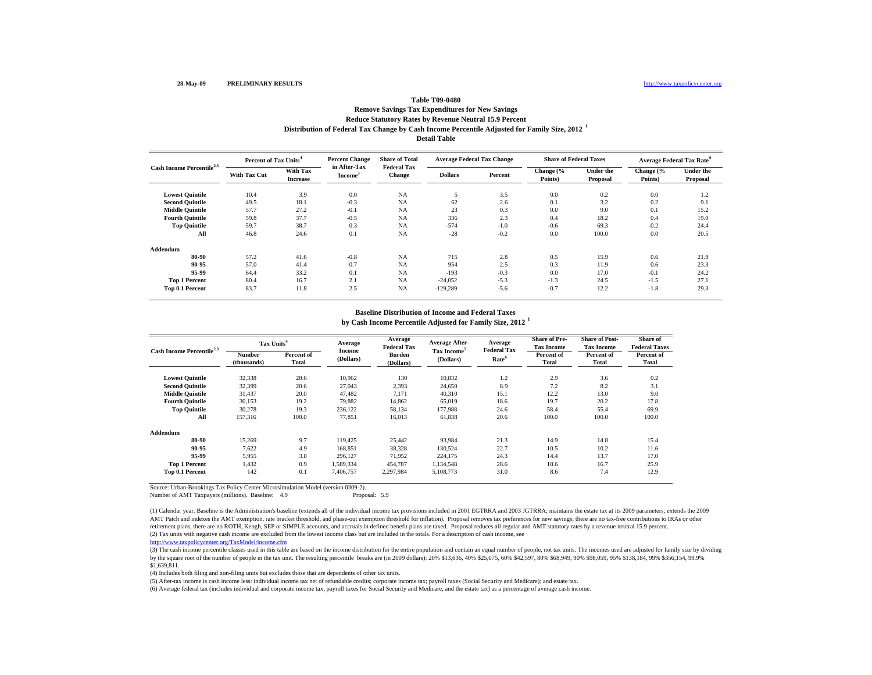### **Distribution of Federal Tax Change by Cash Income Percentile Adjusted for Family Size, 2012 <sup>1</sup> Detail Table Remove Savings Tax Expenditures for New Savings Reduce Statutory Rates by Revenue Neutral 15.9 Percent**

**Lowest Quintile** 10.4 3.9 0.0 NA 5 3.5 0.0 0.2 0.0 1.2 **Second Quintile**  $49.5$  18.1  $-0.3$  NA  $62$  2.6  $0.1$  3.2  $0.2$  9.1 **Middle Quintile** 57.7 27.2 -0.1 NA 23 0.3 0.0 9.0 0.1 15.2 **Fourth Quintile** 59.8 37.7 -0.5 NA 336 2.3 0.4 18.2 0.4 19.0 **Top Quintile** 59.7 38.7 0.3 NA -574 -1.0 -0.6 69.3 -0.2 24.4 **All** $1$  46.8 24.6 0.1 NA -28 -0.2 0.0 100.0 0.0 20.5 **Addendum80-90** 57.2 41.6 -0.8 NA 715 2.8 0.5 15.9 0.6 21.9 **90-95** 57.0 41.4 -0.7 NA 954 2.5 0.3 11.9 0.6 23.3 **95-99** 64.4 33.2 0.1 NA -193 -0.3 0.0 17.0 -0.1 24.2 **Top 1 Percent** 80.4 16.7 2.1 NA -24,052 -5.3 -1.3 24.5 -1.5 27.1 **Top 0.1 Percent** 83.7 11.8 2.5 NA -129,289 -5.6 -0.7 12.2 -1.8 29.3 **Change (% Points) Under the Proposal Dollars Percent**Cash Income Percentile<sup>2,3</sup> **With Tax** With Tax in After-Tax Federal Tax **Dollars** Percent **Change (%** Under the Points) **Proposal** Income<sup>5</sup> Change Dollars Percent Points) Proposal **Percent of Tax Units<sup>4</sup> With Tax Cut With Tax IncreasePercent Change in After-Tax Income<sup>5</sup> Share of Total Federal Tax Change Average Federal Tax Change Share of Federal Taxes Average Federal Tax Rate<sup>6</sup>**

#### **Baseline Distribution of Income and Federal Taxes**

**by Cash Income Percentile Adjusted for Family Size, 2012 <sup>1</sup>**

| Cash Income Percentile <sup>2,3</sup> | Tax Units <sup>4</sup>       |                            | Average             | Average<br><b>Federal Tax</b> | <b>Average After-</b>                | Average<br><b>Federal Tax</b> | <b>Share of Pre-</b><br><b>Tax Income</b> | <b>Share of Post-</b><br><b>Tax Income</b> | <b>Share of</b><br><b>Federal Taxes</b> |
|---------------------------------------|------------------------------|----------------------------|---------------------|-------------------------------|--------------------------------------|-------------------------------|-------------------------------------------|--------------------------------------------|-----------------------------------------|
|                                       | <b>Number</b><br>(thousands) | Percent of<br><b>Total</b> | Income<br>(Dollars) | <b>Burden</b><br>(Dollars)    | Tax Income <sup>5</sup><br>(Dollars) | Rate <sup>6</sup>             | Percent of<br>Total                       | Percent of<br><b>Total</b>                 | Percent of<br>Total                     |
| <b>Lowest Ouintile</b>                | 32,338                       | 20.6                       | 10,962              | 130                           | 10,832                               | 1.2                           | 2.9                                       | 3.6                                        | 0.2                                     |
| <b>Second Ouintile</b>                | 32,399                       | 20.6                       | 27,043              | 2,393                         | 24,650                               | 8.9                           | 7.2                                       | 8.2                                        | 3.1                                     |
| <b>Middle Quintile</b>                | 31,437                       | 20.0                       | 47,482              | 7,171                         | 40,310                               | 15.1                          | 12.2                                      | 13.0                                       | 9.0                                     |
| <b>Fourth Ouintile</b>                | 30.153                       | 19.2                       | 79.882              | 14,862                        | 65,019                               | 18.6                          | 19.7                                      | 20.2                                       | 17.8                                    |
| <b>Top Quintile</b>                   | 30.278                       | 19.3                       | 236.122             | 58,134                        | 177,988                              | 24.6                          | 58.4                                      | 55.4                                       | 69.9                                    |
| All                                   | 157.316                      | 100.0                      | 77,851              | 16,013                        | 61,838                               | 20.6                          | 100.0                                     | 100.0                                      | 100.0                                   |
| Addendum                              |                              |                            |                     |                               |                                      |                               |                                           |                                            |                                         |
| 80-90                                 | 15,269                       | 9.7                        | 119.425             | 25,442                        | 93,984                               | 21.3                          | 14.9                                      | 14.8                                       | 15.4                                    |
| 90-95                                 | 7.622                        | 4.9                        | 168,851             | 38,328                        | 130,524                              | 22.7                          | 10.5                                      | 10.2                                       | 11.6                                    |
| 95-99                                 | 5,955                        | 3.8                        | 296.127             | 71,952                        | 224,175                              | 24.3                          | 14.4                                      | 13.7                                       | 17.0                                    |
| <b>Top 1 Percent</b>                  | 1,432                        | 0.9                        | 1,589,334           | 454,787                       | 1,134,548                            | 28.6                          | 18.6                                      | 16.7                                       | 25.9                                    |
| Top 0.1 Percent                       | 142                          | 0.1                        | 7.406.757           | 2,297,984                     | 5.108.773                            | 31.0                          | 8.6                                       | 7.4                                        | 12.9                                    |

Source: Urban-Brookings Tax Policy Center Microsimulation Model (version 0309-2).

Number of AMT Taxpayers (millions). Baseline: 4.9 Proposal: 5.9

(2) Tax units with negative cash income are excluded from the lowest income class but are included in the totals. For a description of cash income, see (1) Calendar year. Baseline is the Administration's baseline (extends all of the individual income tax provisions included in 2001 EGTRRA and 2003 JGTRRA; maintains the estate tax at its 2009 parameters; extends the 2009 AMT Patch and indexes the AMT exemption, rate bracket threshold, and phase-out exemption threshold for inflation). Proposal removes tax preferences for new savings; there are no tax-free contributions to IRAs or other retirement plans, there are no ROTH, Keogh, SEP or SIMPLE accounts, and accruals in defined benefit plans are taxed. Proposal reduces all regular and AMT statutory rates by a revenue neutral 15.9 percent.

http://www.taxpolicycenter.org/TaxModel/income.cfm

(3) The cash income percentile classes used in this table are based on the income distribution for the entire population and contain an equal number of people, not tax units. The incomes used are adjusted for family size b by the square root of the number of people in the tax unit. The resulting percentile breaks are (in 2009 dollars): 20% \$13,636, 40% \$25,075, 60% \$42,597, 80% \$68,949, 90% \$98,059, 95% \$138,184, 99% \$356,154, 99.9% \$1,639,811.

(4) Includes both filing and non-filing units but excludes those that are dependents of other tax units.

(5) After-tax income is cash income less: individual income tax net of refundable credits; corporate income tax; payroll taxes (Social Security and Medicare); and estate tax.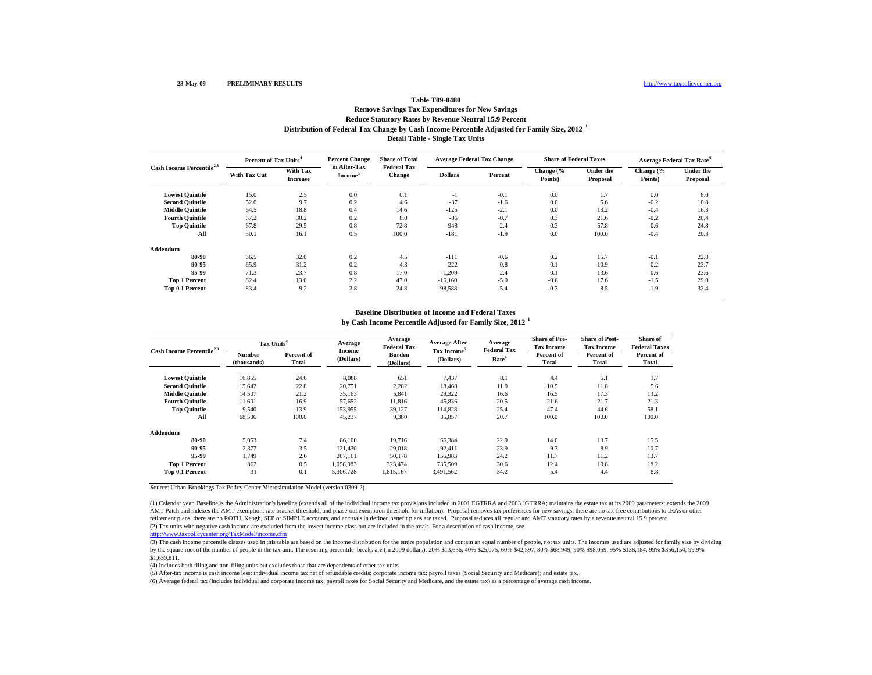### **Distribution of Federal Tax Change by Cash Income Percentile Adjusted for Family Size, 2012 <sup>1</sup> Detail Table - Single Tax Units Remove Savings Tax Expenditures for New Savings Reduce Statutory Rates by Revenue Neutral 15.9 Percent**

| Cash Income Percentile <sup>2,3</sup> |                     | <b>Percent Change</b><br>Percent of Tax Units <sup>4</sup> |                                     | <b>Share of Total</b>               | <b>Average Federal Tax Change</b> |         | <b>Share of Federal Taxes</b> |                              | Average Federal Tax Rate <sup>6</sup> |                              |
|---------------------------------------|---------------------|------------------------------------------------------------|-------------------------------------|-------------------------------------|-----------------------------------|---------|-------------------------------|------------------------------|---------------------------------------|------------------------------|
|                                       | <b>With Tax Cut</b> | With Tax<br><b>Increase</b>                                | in After-Tax<br>Income <sup>3</sup> | <b>Federal Tax</b><br><b>Change</b> | <b>Dollars</b>                    | Percent | Change (%<br>Points)          | <b>Under the</b><br>Proposal | Change (%<br>Points)                  | <b>Under the</b><br>Proposal |
| <b>Lowest Quintile</b>                | 15.0                | 2.5                                                        | 0.0                                 | 0.1                                 | $-1$                              | $-0.1$  | 0.0                           | 1.7                          | 0.0                                   | 8.0                          |
| <b>Second Quintile</b>                | 52.0                | 9.7                                                        | 0.2                                 | 4.6                                 | $-37$                             | $-1.6$  | 0.0                           | 5.6                          | $-0.2$                                | 10.8                         |
| <b>Middle Quintile</b>                | 64.5                | 18.8                                                       | 0.4                                 | 14.6                                | $-125$                            | $-2.1$  | 0.0                           | 13.2                         | $-0.4$                                | 16.3                         |
| <b>Fourth Quintile</b>                | 67.2                | 30.2                                                       | 0.2                                 | 8.0                                 | $-86$                             | $-0.7$  | 0.3                           | 21.6                         | $-0.2$                                | 20.4                         |
| <b>Top Quintile</b>                   | 67.8                | 29.5                                                       | 0.8                                 | 72.8                                | $-948$                            | $-2.4$  | $-0.3$                        | 57.8                         | $-0.6$                                | 24.8                         |
| All                                   | 50.1                | 16.1                                                       | 0.5                                 | 100.0                               | $-181$                            | $-1.9$  | 0.0                           | 100.0                        | $-0.4$                                | 20.3                         |
| Addendum                              |                     |                                                            |                                     |                                     |                                   |         |                               |                              |                                       |                              |
| 80-90                                 | 66.5                | 32.0                                                       | 0.2                                 | 4.5                                 | $-111$                            | $-0.6$  | 0.2                           | 15.7                         | $-0.1$                                | 22.8                         |
| 90-95                                 | 65.9                | 31.2                                                       | 0.2                                 | 4.3                                 | $-222$                            | $-0.8$  | 0.1                           | 10.9                         | $-0.2$                                | 23.7                         |
| 95-99                                 | 71.3                | 23.7                                                       | 0.8                                 | 17.0                                | $-1,209$                          | $-2.4$  | $-0.1$                        | 13.6                         | $-0.6$                                | 23.6                         |
| <b>Top 1 Percent</b>                  | 82.4                | 13.0                                                       | 2.2                                 | 47.0                                | $-16,160$                         | $-5.0$  | $-0.6$                        | 17.6                         | $-1.5$                                | 29.0                         |
| Top 0.1 Percent                       | 83.4                | 9.2                                                        | 2.8                                 | 24.8                                | $-98,588$                         | $-5.4$  | $-0.3$                        | 8.5                          | $-1.9$                                | 32.4                         |

#### **Baseline Distribution of Income and Federal Taxes**

**by Cash Income Percentile Adjusted for Family Size, 2012 <sup>1</sup>**

| Cash Income Percentile <sup>2,3</sup> | Tax Units <sup>4</sup> |                     | Average             | Average<br><b>Federal Tax</b> | <b>Average After-</b>                | Average<br><b>Federal Tax</b> | <b>Share of Pre-</b><br><b>Tax Income</b> | <b>Share of Post-</b><br><b>Tax Income</b> | Share of<br><b>Federal Taxes</b> |
|---------------------------------------|------------------------|---------------------|---------------------|-------------------------------|--------------------------------------|-------------------------------|-------------------------------------------|--------------------------------------------|----------------------------------|
|                                       | Number<br>(thousands)  | Percent of<br>Total | Income<br>(Dollars) | <b>Burden</b><br>(Dollars)    | Tax Income <sup>5</sup><br>(Dollars) | Rate <sup>6</sup>             | Percent of<br>Total                       | Percent of<br><b>Total</b>                 | Percent of<br><b>Total</b>       |
| <b>Lowest Quintile</b>                | 16,855                 | 24.6                | 8,088               | 651                           | 7,437                                | 8.1                           | 4.4                                       | 5.1                                        | 1.7                              |
| <b>Second Ouintile</b>                | 15,642                 | 22.8                | 20,751              | 2,282                         | 18,468                               | 11.0                          | 10.5                                      | 11.8                                       | 5.6                              |
| <b>Middle Ouintile</b>                | 14,507                 | 21.2                | 35,163              | 5,841                         | 29,322                               | 16.6                          | 16.5                                      | 17.3                                       | 13.2                             |
| <b>Fourth Ouintile</b>                | 11.601                 | 16.9                | 57,652              | 11,816                        | 45.836                               | 20.5                          | 21.6                                      | 21.7                                       | 21.3                             |
| <b>Top Quintile</b>                   | 9,540                  | 13.9                | 153,955             | 39,127                        | 114,828                              | 25.4                          | 47.4                                      | 44.6                                       | 58.1                             |
| All                                   | 68,506                 | 100.0               | 45,237              | 9,380                         | 35,857                               | 20.7                          | 100.0                                     | 100.0                                      | 100.0                            |
| Addendum                              |                        |                     |                     |                               |                                      |                               |                                           |                                            |                                  |
| 80-90                                 | 5,053                  | 7.4                 | 86,100              | 19,716                        | 66,384                               | 22.9                          | 14.0                                      | 13.7                                       | 15.5                             |
| 90-95                                 | 2,377                  | 3.5                 | 121.430             | 29,018                        | 92,411                               | 23.9                          | 9.3                                       | 8.9                                        | 10.7                             |
| 95-99                                 | 1.749                  | 2.6                 | 207.161             | 50,178                        | 156,983                              | 24.2                          | 11.7                                      | 11.2                                       | 13.7                             |
| <b>Top 1 Percent</b>                  | 362                    | 0.5                 | 1,058,983           | 323,474                       | 735,509                              | 30.6                          | 12.4                                      | 10.8                                       | 18.2                             |
| Top 0.1 Percent                       | 31                     | 0.1                 | 5,306,728           | 1,815,167                     | 3,491,562                            | 34.2                          | 5.4                                       | 4.4                                        | 8.8                              |

Source: Urban-Brookings Tax Policy Center Microsimulation Model (version 0309-2).

(2) Tax units with negative cash income are excluded from the lowest income class but are included in the totals. For a description of cash income, see (1) Calendar year. Baseline is the Administration's baseline (extends all of the individual income tax provisions included in 2001 EGTRRA and 2003 JGTRRA; maintains the estate tax at its 2009 parameters; extends the 2009 AMT Patch and indexes the AMT exemption, rate bracket threshold, and phase-out exemption threshold for inflation). Proposal removes tax preferences for new savings; there are no tax-free contributions to IRAs or other retirement plans, there are no ROTH, Keogh, SEP or SIMPLE accounts, and accruals in defined benefit plans are taxed. Proposal reduces all regular and AMT statutory rates by a revenue neutral 15.9 percent.

http://www.taxpolicycenter.org/TaxModel/income.cfm

(3) The cash income percentile classes used in this table are based on the income distribution for the entire population and contain an equal number of people, not tax units. The incomes used are adjusted for family size b by the square root of the number of people in the tax unit. The resulting percentile breaks are (in 2009 dollars): 20% \$13,636, 40% \$25,075, 60% \$42,597, 80% \$68,949, 90% \$98,059, 95% \$138,184, 99% \$356,154, 99.9% \$1,639,811.

(4) Includes both filing and non-filing units but excludes those that are dependents of other tax units.

(5) After-tax income is cash income less: individual income tax net of refundable credits; corporate income tax; payroll taxes (Social Security and Medicare); and estate tax.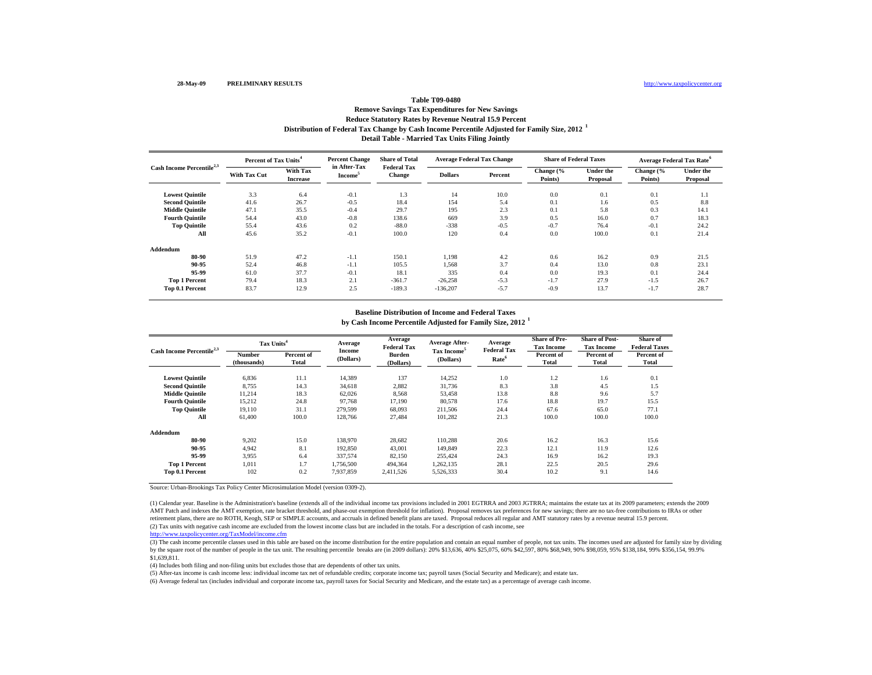### **Distribution of Federal Tax Change by Cash Income Percentile Adjusted for Family Size, 2012 <sup>1</sup> Detail Table - Married Tax Units Filing Jointly Remove Savings Tax Expenditures for New Savings Reduce Statutory Rates by Revenue Neutral 15.9 Percent**

|                                       | Percent of Tax Units <sup>4</sup> |                             | <b>Percent Change</b>               | <b>Share of Total</b>               | <b>Average Federal Tax Change</b> |         | <b>Share of Federal Taxes</b> |                              | <b>Average Federal Tax Rate<sup>6</sup></b> |                              |
|---------------------------------------|-----------------------------------|-----------------------------|-------------------------------------|-------------------------------------|-----------------------------------|---------|-------------------------------|------------------------------|---------------------------------------------|------------------------------|
| Cash Income Percentile <sup>2,3</sup> | <b>With Tax Cut</b>               | With Tax<br><b>Increase</b> | in After-Tax<br>Income <sup>3</sup> | <b>Federal Tax</b><br><b>Change</b> | <b>Dollars</b>                    | Percent | Change (%<br>Points)          | <b>Under the</b><br>Proposal | Change (%<br>Points)                        | <b>Under the</b><br>Proposal |
| <b>Lowest Quintile</b>                | 3.3                               | 6.4                         | $-0.1$                              | 1.3                                 | 14                                | 10.0    | 0.0                           | 0.1                          | 0.1                                         | 1.1                          |
| <b>Second Quintile</b>                | 41.6                              | 26.7                        | $-0.5$                              | 18.4                                | 154                               | 5.4     | 0.1                           | 1.6                          | 0.5                                         | 8.8                          |
| <b>Middle Quintile</b>                | 47.1                              | 35.5                        | $-0.4$                              | 29.7                                | 195                               | 2.3     | 0.1                           | 5.8                          | 0.3                                         | 14.1                         |
| <b>Fourth Quintile</b>                | 54.4                              | 43.0                        | $-0.8$                              | 138.6                               | 669                               | 3.9     | 0.5                           | 16.0                         | 0.7                                         | 18.3                         |
| <b>Top Quintile</b>                   | 55.4                              | 43.6                        | 0.2                                 | $-88.0$                             | $-338$                            | $-0.5$  | $-0.7$                        | 76.4                         | $-0.1$                                      | 24.2                         |
| All                                   | 45.6                              | 35.2                        | $-0.1$                              | 100.0                               | 120                               | 0.4     | 0.0                           | 100.0                        | 0.1                                         | 21.4                         |
| Addendum                              |                                   |                             |                                     |                                     |                                   |         |                               |                              |                                             |                              |
| 80-90                                 | 51.9                              | 47.2                        | $-1.1$                              | 150.1                               | 1,198                             | 4.2     | 0.6                           | 16.2                         | 0.9                                         | 21.5                         |
| 90-95                                 | 52.4                              | 46.8                        | $-1.1$                              | 105.5                               | 1.568                             | 3.7     | 0.4                           | 13.0                         | 0.8                                         | 23.1                         |
| 95-99                                 | 61.0                              | 37.7                        | $-0.1$                              | 18.1                                | 335                               | 0.4     | 0.0                           | 19.3                         | 0.1                                         | 24.4                         |
| <b>Top 1 Percent</b>                  | 79.4                              | 18.3                        | 2.1                                 | $-361.7$                            | $-26,258$                         | $-5.3$  | $-1.7$                        | 27.9                         | $-1.5$                                      | 26.7                         |
| Top 0.1 Percent                       | 83.7                              | 12.9                        | 2.5                                 | $-189.3$                            | $-136,207$                        | $-5.7$  | $-0.9$                        | 13.7                         | $-1.7$                                      | 28.7                         |

#### **Baseline Distribution of Income and Federal Taxes**

**by Cash Income Percentile Adjusted for Family Size, 2012 <sup>1</sup>**

| Cash Income Percentile <sup>2,3</sup> |                       | Tax Units <sup>4</sup> |                     | Average<br><b>Federal Tax</b> | <b>Average After-</b>                | Average<br><b>Federal Tax</b> | <b>Share of Pre-</b><br><b>Tax Income</b> | <b>Share of Post-</b><br><b>Tax Income</b> | Share of<br><b>Federal Taxes</b> |
|---------------------------------------|-----------------------|------------------------|---------------------|-------------------------------|--------------------------------------|-------------------------------|-------------------------------------------|--------------------------------------------|----------------------------------|
|                                       | Number<br>(thousands) | Percent of<br>Total    | Income<br>(Dollars) | <b>Burden</b><br>(Dollars)    | Tax Income <sup>5</sup><br>(Dollars) | Rate <sup>6</sup>             | Percent of<br>Total                       | Percent of<br><b>Total</b>                 | Percent of<br><b>Total</b>       |
| <b>Lowest Quintile</b>                | 6,836                 | 11.1                   | 14,389              | 137                           | 14,252                               | 1.0                           | 1.2                                       | 1.6                                        | 0.1                              |
| <b>Second Quintile</b>                | 8,755                 | 14.3                   | 34,618              | 2,882                         | 31,736                               | 8.3                           | 3.8                                       | 4.5                                        | 1.5                              |
| <b>Middle Quintile</b>                | 11,214                | 18.3                   | 62,026              | 8,568                         | 53,458                               | 13.8                          | 8.8                                       | 9.6                                        | 5.7                              |
| <b>Fourth Quintile</b>                | 15,212                | 24.8                   | 97,768              | 17,190                        | 80,578                               | 17.6                          | 18.8                                      | 19.7                                       | 15.5                             |
| <b>Top Quintile</b>                   | 19,110                | 31.1                   | 279,599             | 68,093                        | 211,506                              | 24.4                          | 67.6                                      | 65.0                                       | 77.1                             |
| All                                   | 61.400                | 100.0                  | 128,766             | 27,484                        | 101,282                              | 21.3                          | 100.0                                     | 100.0                                      | 100.0                            |
| Addendum                              |                       |                        |                     |                               |                                      |                               |                                           |                                            |                                  |
| 80-90                                 | 9,202                 | 15.0                   | 138,970             | 28,682                        | 110,288                              | 20.6                          | 16.2                                      | 16.3                                       | 15.6                             |
| 90-95                                 | 4,942                 | 8.1                    | 192,850             | 43,001                        | 149,849                              | 22.3                          | 12.1                                      | 11.9                                       | 12.6                             |
| 95-99                                 | 3,955                 | 6.4                    | 337,574             | 82,150                        | 255,424                              | 24.3                          | 16.9                                      | 16.2                                       | 19.3                             |
| <b>Top 1 Percent</b>                  | 1.011                 | 1.7                    | 1,756,500           | 494,364                       | 1,262,135                            | 28.1                          | 22.5                                      | 20.5                                       | 29.6                             |
| Top 0.1 Percent                       | 102                   | 0.2                    | 7,937,859           | 2,411,526                     | 5,526,333                            | 30.4                          | 10.2                                      | 9.1                                        | 14.6                             |

Source: Urban-Brookings Tax Policy Center Microsimulation Model (version 0309-2).

(2) Tax units with negative cash income are excluded from the lowest income class but are included in the totals. For a description of cash income, see (1) Calendar year. Baseline is the Administration's baseline (extends all of the individual income tax provisions included in 2001 EGTRRA and 2003 JGTRRA; maintains the estate tax at its 2009 parameters; extends the 2009 AMT Patch and indexes the AMT exemption, rate bracket threshold, and phase-out exemption threshold for inflation). Proposal removes tax preferences for new savings; there are no tax-free contributions to IRAs or other retirement plans, there are no ROTH, Keogh, SEP or SIMPLE accounts, and accruals in defined benefit plans are taxed. Proposal reduces all regular and AMT statutory rates by a revenue neutral 15.9 percent.

http://www.taxpolicycenter.org/TaxModel/income.cfm

(3) The cash income percentile classes used in this table are based on the income distribution for the entire population and contain an equal number of people, not tax units. The incomes used are adjusted for family size b by the square root of the number of people in the tax unit. The resulting percentile breaks are (in 2009 dollars): 20% \$13,636, 40% \$25,075, 60% \$42,597, 80% \$68,949, 90% \$98,059, 95% \$138,184, 99% \$356,154, 99.9% \$1,639,811.

(4) Includes both filing and non-filing units but excludes those that are dependents of other tax units.

(5) After-tax income is cash income less: individual income tax net of refundable credits; corporate income tax; payroll taxes (Social Security and Medicare); and estate tax.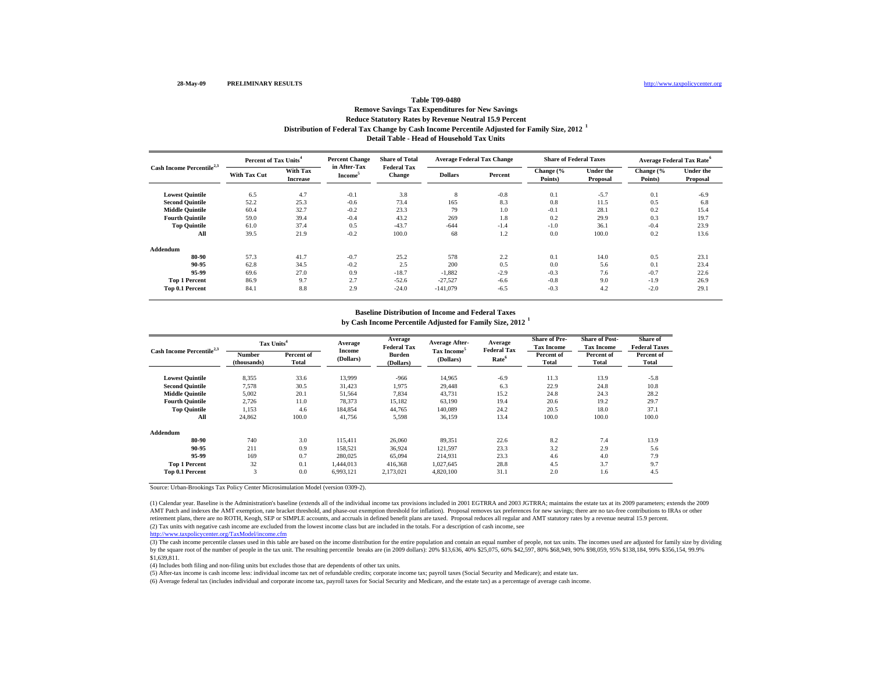### **Distribution of Federal Tax Change by Cash Income Percentile Adjusted for Family Size, 2012 <sup>1</sup> Detail Table - Head of Household Tax Units Remove Savings Tax Expenditures for New Savings Reduce Statutory Rates by Revenue Neutral 15.9 Percent**

| Cash Income Percentile <sup>2,3</sup> | Percent of Tax Units <sup>4</sup> |                             | <b>Percent Change</b>               | <b>Share of Total</b>        | <b>Average Federal Tax Change</b> |         | <b>Share of Federal Taxes</b> |                              | <b>Average Federal Tax Rate<sup>6</sup></b> |                              |
|---------------------------------------|-----------------------------------|-----------------------------|-------------------------------------|------------------------------|-----------------------------------|---------|-------------------------------|------------------------------|---------------------------------------------|------------------------------|
|                                       | <b>With Tax Cut</b>               | With Tax<br><b>Increase</b> | in After-Tax<br>Income <sup>3</sup> | <b>Federal Tax</b><br>Change | <b>Dollars</b>                    | Percent | Change (%<br>Points)          | <b>Under the</b><br>Proposal | Change (%<br>Points)                        | <b>Under the</b><br>Proposal |
| <b>Lowest Quintile</b>                | 6.5                               | 4.7                         | $-0.1$                              | 3.8                          | 8                                 | $-0.8$  | 0.1                           | $-5.7$                       | 0.1                                         | $-6.9$                       |
| <b>Second Quintile</b>                | 52.2                              | 25.3                        | $-0.6$                              | 73.4                         | 165                               | 8.3     | 0.8                           | 11.5                         | 0.5                                         | 6.8                          |
| <b>Middle Quintile</b>                | 60.4                              | 32.7                        | $-0.2$                              | 23.3                         | 79                                | 1.0     | $-0.1$                        | 28.1                         | 0.2                                         | 15.4                         |
| <b>Fourth Quintile</b>                | 59.0                              | 39.4                        | $-0.4$                              | 43.2                         | 269                               | 1.8     | 0.2                           | 29.9                         | 0.3                                         | 19.7                         |
| <b>Top Quintile</b>                   | 61.0                              | 37.4                        | 0.5                                 | $-43.7$                      | $-644$                            | $-1.4$  | $-1.0$                        | 36.1                         | $-0.4$                                      | 23.9                         |
| All                                   | 39.5                              | 21.9                        | $-0.2$                              | 100.0                        | 68                                | 1.2     | 0.0                           | 100.0                        | 0.2                                         | 13.6                         |
| Addendum                              |                                   |                             |                                     |                              |                                   |         |                               |                              |                                             |                              |
| 80-90                                 | 57.3                              | 41.7                        | $-0.7$                              | 25.2                         | 578                               | 2.2     | 0.1                           | 14.0                         | 0.5                                         | 23.1                         |
| 90-95                                 | 62.8                              | 34.5                        | $-0.2$                              | 2.5                          | 200                               | 0.5     | 0.0                           | 5.6                          | 0.1                                         | 23.4                         |
| 95-99                                 | 69.6                              | 27.0                        | 0.9                                 | $-18.7$                      | $-1.882$                          | $-2.9$  | $-0.3$                        | 7.6                          | $-0.7$                                      | 22.6                         |
| <b>Top 1 Percent</b>                  | 86.9                              | 9.7                         | 2.7                                 | $-52.6$                      | $-27,527$                         | $-6.6$  | $-0.8$                        | 9.0                          | $-1.9$                                      | 26.9                         |
| Top 0.1 Percent                       | 84.1                              | 8.8                         | 2.9                                 | $-24.0$                      | $-141,079$                        | $-6.5$  | $-0.3$                        | 4.2                          | $-2.0$                                      | 29.1                         |

#### **Baseline Distribution of Income and Federal Taxes**

**by Cash Income Percentile Adjusted for Family Size, 2012 <sup>1</sup>**

| Cash Income Percentile <sup>2,3</sup> |                       | Tax Units <sup>4</sup> |                     | Average<br><b>Federal Tax</b> | <b>Average After-</b>                | Average<br><b>Federal Tax</b> | <b>Share of Pre-</b><br><b>Tax Income</b> | <b>Share of Post-</b><br><b>Tax Income</b> | Share of<br><b>Federal Taxes</b> |
|---------------------------------------|-----------------------|------------------------|---------------------|-------------------------------|--------------------------------------|-------------------------------|-------------------------------------------|--------------------------------------------|----------------------------------|
|                                       | Number<br>(thousands) | Percent of<br>Total    | Income<br>(Dollars) | Burden<br>(Dollars)           | Tax Income <sup>5</sup><br>(Dollars) | Rate <sup>6</sup>             | Percent of<br><b>Total</b>                | Percent of<br>Total                        | Percent of<br>Total              |
| <b>Lowest Quintile</b>                | 8,355                 | 33.6                   | 13,999              | $-966$                        | 14,965                               | $-6.9$                        | 11.3                                      | 13.9                                       | $-5.8$                           |
| <b>Second Quintile</b>                | 7,578                 | 30.5                   | 31,423              | 1,975                         | 29,448                               | 6.3                           | 22.9                                      | 24.8                                       | 10.8                             |
| <b>Middle Quintile</b>                | 5,002                 | 20.1                   | 51,564              | 7,834                         | 43,731                               | 15.2                          | 24.8                                      | 24.3                                       | 28.2                             |
| <b>Fourth Quintile</b>                | 2,726                 | 11.0                   | 78,373              | 15,182                        | 63,190                               | 19.4                          | 20.6                                      | 19.2                                       | 29.7                             |
| <b>Top Quintile</b>                   | 1,153                 | 4.6                    | 184,854             | 44,765                        | 140,089                              | 24.2                          | 20.5                                      | 18.0                                       | 37.1                             |
| All                                   | 24,862                | 100.0                  | 41,756              | 5,598                         | 36,159                               | 13.4                          | 100.0                                     | 100.0                                      | 100.0                            |
| Addendum                              |                       |                        |                     |                               |                                      |                               |                                           |                                            |                                  |
| 80-90                                 | 740                   | 3.0                    | 115.411             | 26,060                        | 89,351                               | 22.6                          | 8.2                                       | 7.4                                        | 13.9                             |
| 90-95                                 | 211                   | 0.9                    | 158.521             | 36,924                        | 121,597                              | 23.3                          | 3.2                                       | 2.9                                        | 5.6                              |
| 95-99                                 | 169                   | 0.7                    | 280,025             | 65,094                        | 214,931                              | 23.3                          | 4.6                                       | 4.0                                        | 7.9                              |
| <b>Top 1 Percent</b>                  | 32                    | 0.1                    | 1,444,013           | 416,368                       | 1,027,645                            | 28.8                          | 4.5                                       | 3.7                                        | 9.7                              |
| Top 0.1 Percent                       | 3                     | 0.0                    | 6,993,121           | 2,173,021                     | 4,820,100                            | 31.1                          | 2.0                                       | 1.6                                        | 4.5                              |

Source: Urban-Brookings Tax Policy Center Microsimulation Model (version 0309-2).

(2) Tax units with negative cash income are excluded from the lowest income class but are included in the totals. For a description of cash income, see (1) Calendar year. Baseline is the Administration's baseline (extends all of the individual income tax provisions included in 2001 EGTRRA and 2003 JGTRRA; maintains the estate tax at its 2009 parameters; extends the 2009 AMT Patch and indexes the AMT exemption, rate bracket threshold, and phase-out exemption threshold for inflation). Proposal removes tax preferences for new savings; there are no tax-free contributions to IRAs or other retirement plans, there are no ROTH, Keogh, SEP or SIMPLE accounts, and accruals in defined benefit plans are taxed. Proposal reduces all regular and AMT statutory rates by a revenue neutral 15.9 percent.

http://www.taxpolicycenter.org/TaxModel/income.cfm

(3) The cash income percentile classes used in this table are based on the income distribution for the entire population and contain an equal number of people, not tax units. The incomes used are adjusted for family size b by the square root of the number of people in the tax unit. The resulting percentile breaks are (in 2009 dollars): 20% \$13,636, 40% \$25,075, 60% \$42,597, 80% \$68,949, 90% \$98,059, 95% \$138,184, 99% \$356,154, 99.9% \$1,639,811.

(4) Includes both filing and non-filing units but excludes those that are dependents of other tax units.

(5) After-tax income is cash income less: individual income tax net of refundable credits; corporate income tax; payroll taxes (Social Security and Medicare); and estate tax.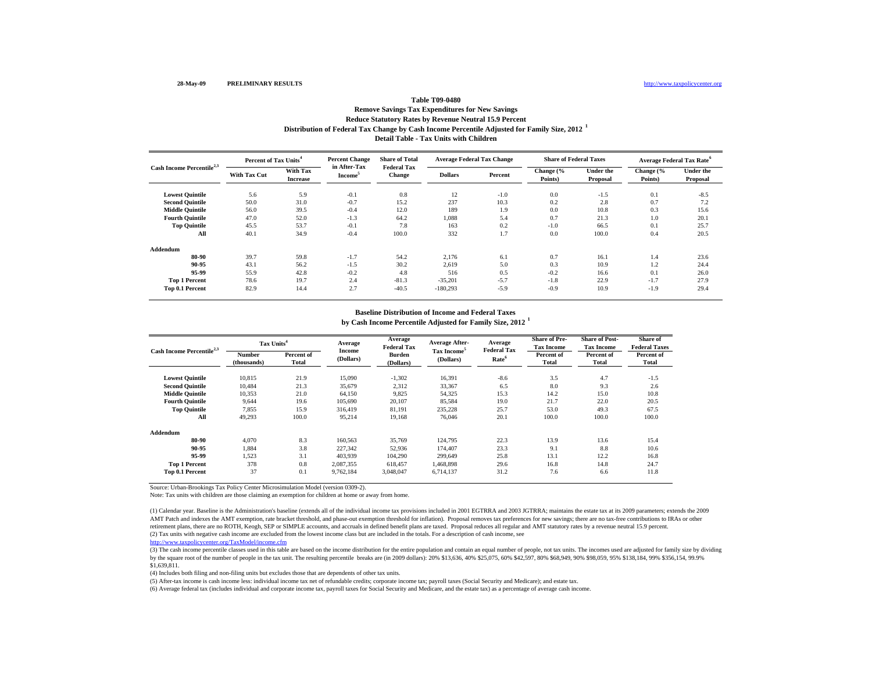### **Distribution of Federal Tax Change by Cash Income Percentile Adjusted for Family Size, 2012 <sup>1</sup> Detail Table - Tax Units with Children Remove Savings Tax Expenditures for New Savings Reduce Statutory Rates by Revenue Neutral 15.9 Percent**

| Cash Income Percentile <sup>2,3</sup> |                     | <b>Percent Change</b><br>Percent of Tax Units <sup>4</sup> |                                     | <b>Share of Total</b>               | <b>Average Federal Tax Change</b> |         | <b>Share of Federal Taxes</b> |                              | Average Federal Tax Rate <sup>6</sup> |                              |
|---------------------------------------|---------------------|------------------------------------------------------------|-------------------------------------|-------------------------------------|-----------------------------------|---------|-------------------------------|------------------------------|---------------------------------------|------------------------------|
|                                       | <b>With Tax Cut</b> | <b>With Tax</b><br><b>Increase</b>                         | in After-Tax<br>Income <sup>3</sup> | <b>Federal Tax</b><br><b>Change</b> | <b>Dollars</b>                    | Percent | Change (%<br>Points)          | <b>Under the</b><br>Proposal | Change (%<br>Points)                  | <b>Under the</b><br>Proposal |
| <b>Lowest Quintile</b>                | 5.6                 | 5.9                                                        | $-0.1$                              | 0.8                                 | 12                                | $-1.0$  | 0.0                           | $-1.5$                       | 0.1                                   | $-8.5$                       |
| <b>Second Quintile</b>                | 50.0                | 31.0                                                       | $-0.7$                              | 15.2                                | 237                               | 10.3    | 0.2                           | 2.8                          | 0.7                                   | 7.2                          |
| <b>Middle Quintile</b>                | 56.0                | 39.5                                                       | $-0.4$                              | 12.0                                | 189                               | 1.9     | 0.0                           | 10.8                         | 0.3                                   | 15.6                         |
| <b>Fourth Quintile</b>                | 47.0                | 52.0                                                       | $-1.3$                              | 64.2                                | 1,088                             | 5.4     | 0.7                           | 21.3                         | 1.0                                   | 20.1                         |
| <b>Top Quintile</b>                   | 45.5                | 53.7                                                       | $-0.1$                              | 7.8                                 | 163                               | 0.2     | $-1.0$                        | 66.5                         | 0.1                                   | 25.7                         |
| All                                   | 40.1                | 34.9                                                       | $-0.4$                              | 100.0                               | 332                               | 1.7     | 0.0                           | 100.0                        | 0.4                                   | 20.5                         |
| Addendum                              |                     |                                                            |                                     |                                     |                                   |         |                               |                              |                                       |                              |
| 80-90                                 | 39.7                | 59.8                                                       | $-1.7$                              | 54.2                                | 2,176                             | 6.1     | 0.7                           | 16.1                         | 1.4                                   | 23.6                         |
| 90-95                                 | 43.1                | 56.2                                                       | $-1.5$                              | 30.2                                | 2.619                             | 5.0     | 0.3                           | 10.9                         | 1.2                                   | 24.4                         |
| 95-99                                 | 55.9                | 42.8                                                       | $-0.2$                              | 4.8                                 | 516                               | 0.5     | $-0.2$                        | 16.6                         | 0.1                                   | 26.0                         |
| <b>Top 1 Percent</b>                  | 78.6                | 19.7                                                       | 2.4                                 | $-81.3$                             | $-35,201$                         | $-5.7$  | $-1.8$                        | 22.9                         | $-1.7$                                | 27.9                         |
| Top 0.1 Percent                       | 82.9                | 14.4                                                       | 2.7                                 | $-40.5$                             | $-180,293$                        | $-5.9$  | $-0.9$                        | 10.9                         | $-1.9$                                | 29.4                         |

#### **Baseline Distribution of Income and Federal Taxes**

**by Cash Income Percentile Adjusted for Family Size, 2012 <sup>1</sup>**

| Cash Income Percentile <sup>2,3</sup> |                       | Tax Units <sup>4</sup> |                     | Average<br><b>Federal Tax</b> | <b>Average After-</b>                | Average                                 | <b>Share of Pre-</b><br><b>Tax Income</b> | <b>Share of Post-</b><br><b>Tax Income</b> | Share of<br><b>Federal Taxes</b> |
|---------------------------------------|-----------------------|------------------------|---------------------|-------------------------------|--------------------------------------|-----------------------------------------|-------------------------------------------|--------------------------------------------|----------------------------------|
|                                       | Number<br>(thousands) | Percent of<br>Total    | Income<br>(Dollars) | <b>Burden</b><br>(Dollars)    | Tax Income <sup>5</sup><br>(Dollars) | <b>Federal Tax</b><br>Rate <sup>6</sup> | Percent of<br>Total                       | Percent of<br><b>Total</b>                 | Percent of<br><b>Total</b>       |
| <b>Lowest Quintile</b>                | 10,815                | 21.9                   | 15,090              | $-1,302$                      | 16,391                               | $-8.6$                                  | 3.5                                       | 4.7                                        | $-1.5$                           |
| <b>Second Ouintile</b>                | 10.484                | 21.3                   | 35,679              | 2,312                         | 33,367                               | 6.5                                     | 8.0                                       | 9.3                                        | 2.6                              |
| <b>Middle Ouintile</b>                | 10,353                | 21.0                   | 64,150              | 9,825                         | 54,325                               | 15.3                                    | 14.2                                      | 15.0                                       | 10.8                             |
| <b>Fourth Ouintile</b>                | 9.644                 | 19.6                   | 105,690             | 20,107                        | 85,584                               | 19.0                                    | 21.7                                      | 22.0                                       | 20.5                             |
| <b>Top Quintile</b>                   | 7,855                 | 15.9                   | 316,419             | 81,191                        | 235,228                              | 25.7                                    | 53.0                                      | 49.3                                       | 67.5                             |
| All                                   | 49,293                | 100.0                  | 95,214              | 19,168                        | 76.046                               | 20.1                                    | 100.0                                     | 100.0                                      | 100.0                            |
| Addendum                              |                       |                        |                     |                               |                                      |                                         |                                           |                                            |                                  |
| 80-90                                 | 4.070                 | 8.3                    | 160,563             | 35,769                        | 124,795                              | 22.3                                    | 13.9                                      | 13.6                                       | 15.4                             |
| 90-95                                 | 1,884                 | 3.8                    | 227,342             | 52,936                        | 174,407                              | 23.3                                    | 9.1                                       | 8.8                                        | 10.6                             |
| 95-99                                 | 1,523                 | 3.1                    | 403,939             | 104,290                       | 299,649                              | 25.8                                    | 13.1                                      | 12.2                                       | 16.8                             |
| <b>Top 1 Percent</b>                  | 378                   | 0.8                    | 2,087,355           | 618.457                       | 1,468,898                            | 29.6                                    | 16.8                                      | 14.8                                       | 24.7                             |
| Top 0.1 Percent                       | 37                    | 0.1                    | 9,762,184           | 3.048.047                     | 6,714,137                            | 31.2                                    | 7.6                                       | 6.6                                        | 11.8                             |

Source: Urban-Brookings Tax Policy Center Microsimulation Model (version 0309-2).

Note: Tax units with children are those claiming an exemption for children at home or away from home.

(2) Tax units with negative cash income are excluded from the lowest income class but are included in the totals. For a description of cash income, see (1) Calendar year. Baseline is the Administration's baseline (extends all of the individual income tax provisions included in 2001 EGTRRA and 2003 JGTRRA; maintains the estate tax at its 2009 parameters; extends the 2009 AMT Patch and indexes the AMT exemption, rate bracket threshold, and phase-out exemption threshold for inflation). Proposal removes tax preferences for new savings; there are no tax-free contributions to IRAs or other retirement plans, there are no ROTH, Keogh, SEP or SIMPLE accounts, and accruals in defined benefit plans are taxed. Proposal reduces all regular and AMT statutory rates by a revenue neutral 15.9 percent.

http://www.taxpolicycenter.org/TaxModel/income.cfm

(3) The cash income percentile classes used in this table are based on the income distribution for the entire population and contain an equal number of people, not tax units. The incomes used are adjusted for family size b by the square root of the number of people in the tax unit. The resulting percentile breaks are (in 2009 dollars): 20% \$13,636, 40% \$25,075, 60% \$42,597, 80% \$68,949, 90% \$98,059, 95% \$138,184, 99% \$356,154, 99.9% \$1,639,811.

(4) Includes both filing and non-filing units but excludes those that are dependents of other tax units.

(5) After-tax income is cash income less: individual income tax net of refundable credits; corporate income tax; payroll taxes (Social Security and Medicare); and estate tax.